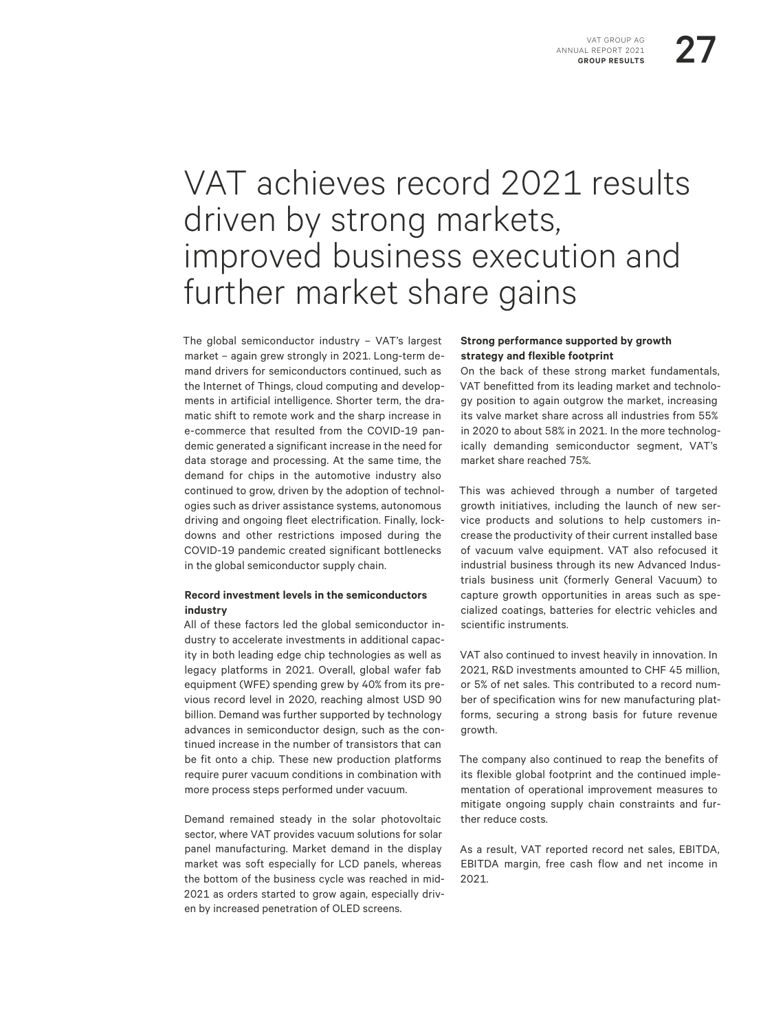# VAT GROUP AG<br>- REPORT 2021<br>ROUP RESULTS

## VAT achieves record 2021 results driven by strong markets, improved business execution and further market share gains

The global semiconductor industry – VAT's largest market – again grew strongly in 2021. Long-term demand drivers for semiconductors continued, such as the Internet of Things, cloud computing and developments in artificial intelligence. Shorter term, the dramatic shift to remote work and the sharp increase in e-commerce that resulted from the COVID-19 pandemic generated a significant increase in the need for data storage and processing. At the same time, the demand for chips in the automotive industry also continued to grow, driven by the adoption of technologies such as driver assistance systems, autonomous driving and ongoing fleet electrification. Finally, lockdowns and other restrictions imposed during the COVID-19 pandemic created significant bottlenecks in the global semiconductor supply chain.

#### **Record investment levels in the semiconductors industry**

All of these factors led the global semiconductor industry to accelerate investments in additional capacity in both leading edge chip technologies as well as legacy platforms in 2021. Overall, global wafer fab equipment (WFE) spending grew by 40% from its previous record level in 2020, reaching almost USD 90 billion. Demand was further supported by technology advances in semiconductor design, such as the continued increase in the number of transistors that can be fit onto a chip. These new production platforms require purer vacuum conditions in combination with more process steps performed under vacuum.

Demand remained steady in the solar photovoltaic sector, where VAT provides vacuum solutions for solar panel manufacturing. Market demand in the display market was soft especially for LCD panels, whereas the bottom of the business cycle was reached in mid-2021 as orders started to grow again, especially driven by increased penetration of OLED screens.

#### **Strong performance supported by growth strategy and flexible footprint**

On the back of these strong market fundamentals, VAT benefitted from its leading market and technology position to again outgrow the market, increasing its valve market share across all industries from 55% in 2020 to about 58% in 2021. In the more technologically demanding semiconductor segment, VAT's market share reached 75%.

This was achieved through a number of targeted growth initiatives, including the launch of new service products and solutions to help customers increase the productivity of their current installed base of vacuum valve equipment. VAT also refocused it industrial business through its new Advanced Industrials business unit (formerly General Vacuum) to capture growth opportunities in areas such as specialized coatings, batteries for electric vehicles and scientific instruments.

VAT also continued to invest heavily in innovation. In 2021, R&D investments amounted to CHF 45 million, or 5% of net sales. This contributed to a record number of specification wins for new manufacturing platforms, securing a strong basis for future revenue growth.

The company also continued to reap the benefits of its flexible global footprint and the continued implementation of operational improvement measures to mitigate ongoing supply chain constraints and further reduce costs.

As a result, VAT reported record net sales, EBITDA, EBITDA margin, free cash flow and net income in 2021.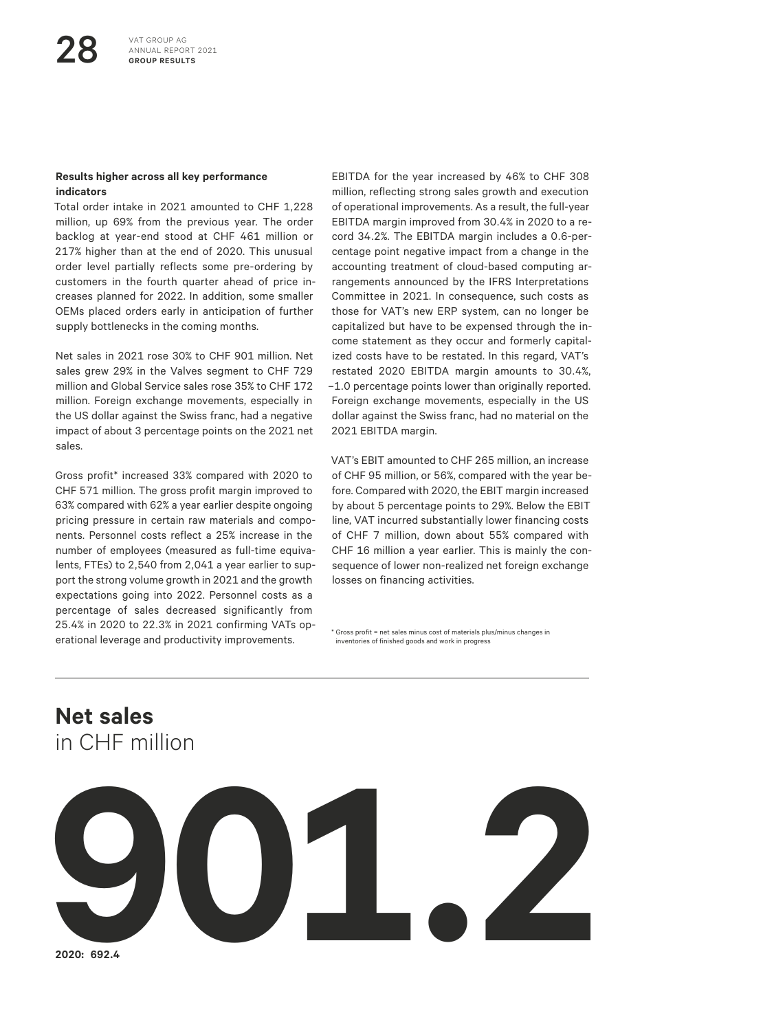#### **Results higher across all key performance indicators**

Total order intake in 2021 amounted to CHF 1,228 million, up 69% from the previous year. The order backlog at year-end stood at CHF 461 million or 217% higher than at the end of 2020. This unusual order level partially reflects some pre-ordering by customers in the fourth quarter ahead of price increases planned for 2022. In addition, some smaller OEMs placed orders early in anticipation of further supply bottlenecks in the coming months.

Net sales in 2021 rose 30% to CHF 901 million. Net sales grew 29% in the Valves segment to CHF 729 million and Global Service sales rose 35% to CHF 172 million. Foreign exchange movements, especially in the US dollar against the Swiss franc, had a negative impact of about 3 percentage points on the 2021 net sales.

Gross profit\* increased 33% compared with 2020 to CHF 571 million. The gross profit margin improved to 63% compared with 62% a year earlier despite ongoing pricing pressure in certain raw materials and components. Personnel costs reflect a 25% increase in the number of employees (measured as full-time equivalents, FTEs) to 2,540 from 2,041 a year earlier to support the strong volume growth in 2021 and the growth expectations going into 2022. Personnel costs as a percentage of sales decreased significantly from 25.4% in 2020 to 22.3% in 2021 confirming VATs operational leverage and productivity improvements.

EBITDA for the year increased by 46% to CHF 308 million, reflecting strong sales growth and execution of operational improvements. As a result, the full-year EBITDA margin improved from 30.4% in 2020 to a record 34.2%. The EBITDA margin includes a 0.6-percentage point negative impact from a change in the accounting treatment of cloud-based computing arrangements announced by the IFRS Interpretations Committee in 2021. In consequence, such costs as those for VAT's new ERP system, can no longer be capitalized but have to be expensed through the income statement as they occur and formerly capitalized costs have to be restated. In this regard, VAT's restated 2020 EBITDA margin amounts to 30.4%, –1.0 percentage points lower than originally reported. Foreign exchange movements, especially in the US dollar against the Swiss franc, had no material on the 2021 EBITDA margin.

VAT's EBIT amounted to CHF 265 million, an increase of CHF 95 million, or 56%, compared with the year before. Compared with 2020, the EBIT margin increased by about 5 percentage points to 29%. Below the EBIT line, VAT incurred substantially lower financing costs of CHF 7 million, down about 55% compared with CHF 16 million a year earlier. This is mainly the consequence of lower non-realized net foreign exchange losses on financing activities.

\* Gross profit = net sales minus cost of materials plus/minus changes in inventories of finished goods and work in progress

## **Net sales** in CHF million



**2020: 692.4**